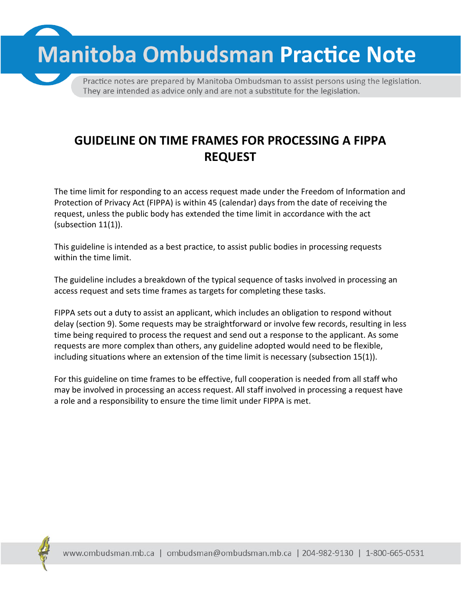**Manitoba Ombudsman Practice Note** 

Practice notes are prepared by Manitoba Ombudsman to assist persons using the legislation. They are intended as advice only and are not a substitute for the legislation.

## **GUIDELINE ON TIME FRAMES FOR PROCESSING A FIPPA REQUEST**

The time limit for responding to an access request made under the Freedom of Information and Protection of Privacy Act (FIPPA) is within 45 (calendar) days from the date of receiving the request, unless the public body has extended the time limit in accordance with the act (subsection 11(1)).

This guideline is intended as a best practice, to assist public bodies in processing requests within the time limit.

The guideline includes a breakdown of the typical sequence of tasks involved in processing an access request and sets time frames as targets for completing these tasks.

FIPPA sets out a duty to assist an applicant, which includes an obligation to respond without delay (section 9). Some requests may be straightforward or involve few records, resulting in less time being required to process the request and send out a response to the applicant. As some requests are more complex than others, any guideline adopted would need to be flexible, including situations where an extension of the time limit is necessary (subsection 15(1)).

For this guideline on time frames to be effective, full cooperation is needed from all staff who may be involved in processing an access request. All staff involved in processing a request have a role and a responsibility to ensure the time limit under FIPPA is met.